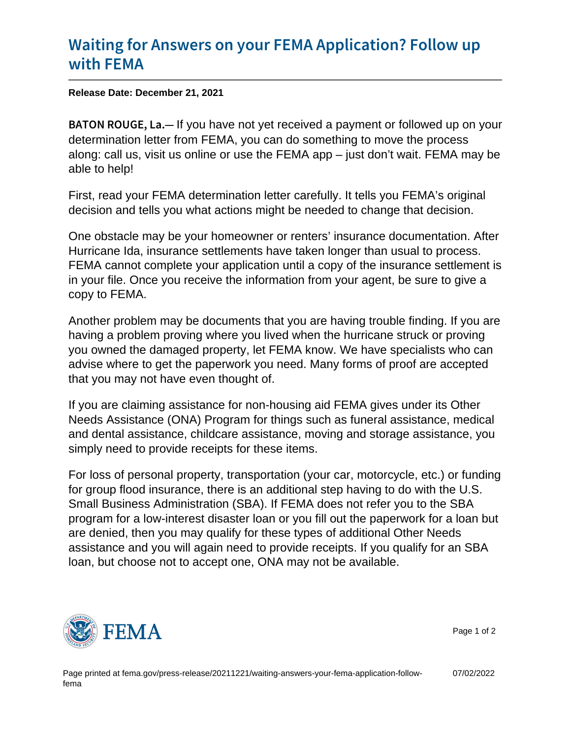## [Waiting for Answers on your FEMA](https://www.fema.gov/press-release/20211221/waiting-answers-your-fema-application-follow-fema) Application [with F](https://www.fema.gov/press-release/20211221/waiting-answers-your-fema-application-follow-fema)EMA

Release Date: December 21, 2021

 $BATON$  ROU G Figu have not yet received a payment or followed up on your determination letter from FEMA, you can do something to move the process along: call us, visit us online or use the FEMA app – just don't wait. FEMA may be able to help!

First, read your FEMA determination letter carefully. It tells you FEMA's original decision and tells you what actions might be needed to change that decision.

One obstacle may be your homeowner or renters' insurance documentation. After Hurricane Ida, insurance settlements have taken longer than usual to process. FEMA cannot complete your application until a copy of the insurance settlement is in your file. Once you receive the information from your agent, be sure to give a copy to FEMA.

Another problem may be documents that you are having trouble finding. If you are having a problem proving where you lived when the hurricane struck or proving you owned the damaged property, let FEMA know. We have specialists who can advise where to get the paperwork you need. Many forms of proof are accepted that you may not have even thought of.

If you are claiming assistance for non-housing aid FEMA gives under its Other Needs Assistance (ONA) Program for things such as funeral assistance, medical and dental assistance, childcare assistance, moving and storage assistance, you simply need to provide receipts for these items.

For loss of personal property, transportation (your car, motorcycle, etc.) or funding for group flood insurance, there is an additional step having to do with the U.S. Small Business Administration (SBA). If FEMA does not refer you to the SBA program for a low-interest disaster loan or you fill out the paperwork for a loan but are denied, then you may qualify for these types of additional Other Needs assistance and you will again need to provide receipts. If you qualify for an SBA loan, but choose not to accept one, ONA may not be available.



Page 1 of 2